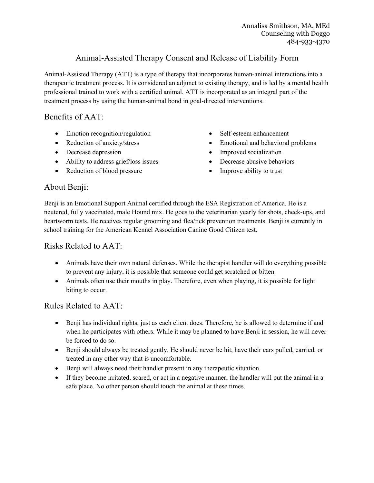# Animal-Assisted Therapy Consent and Release of Liability Form

Animal-Assisted Therapy (ATT) is a type of therapy that incorporates human-animal interactions into a therapeutic treatment process. It is considered an adjunct to existing therapy, and is led by a mental health professional trained to work with a certified animal. ATT is incorporated as an integral part of the treatment process by using the human-animal bond in goal-directed interventions.

### Benefits of AAT:

- Emotion recognition/regulation
- Reduction of anxiety/stress
- Decrease depression
- Ability to address grief/loss issues
- Reduction of blood pressure
- Self-esteem enhancement
- Emotional and behavioral problems
- Improved socialization
- Decrease abusive behaviors
- Improve ability to trust

## About Benji:

Benji is an Emotional Support Animal certified through the ESA Registration of America. He is a neutered, fully vaccinated, male Hound mix. He goes to the veterinarian yearly for shots, check-ups, and heartworm tests. He receives regular grooming and flea/tick prevention treatments. Benji is currently in school training for the American Kennel Association Canine Good Citizen test.

### Risks Related to AAT:

- Animals have their own natural defenses. While the therapist handler will do everything possible to prevent any injury, it is possible that someone could get scratched or bitten.
- Animals often use their mouths in play. Therefore, even when playing, it is possible for light biting to occur.

### Rules Related to AAT:

- Benji has individual rights, just as each client does. Therefore, he is allowed to determine if and when he participates with others. While it may be planned to have Benji in session, he will never be forced to do so.
- Benji should always be treated gently. He should never be hit, have their ears pulled, carried, or treated in any other way that is uncomfortable.
- Benji will always need their handler present in any therapeutic situation.
- If they become irritated, scared, or act in a negative manner, the handler will put the animal in a safe place. No other person should touch the animal at these times.